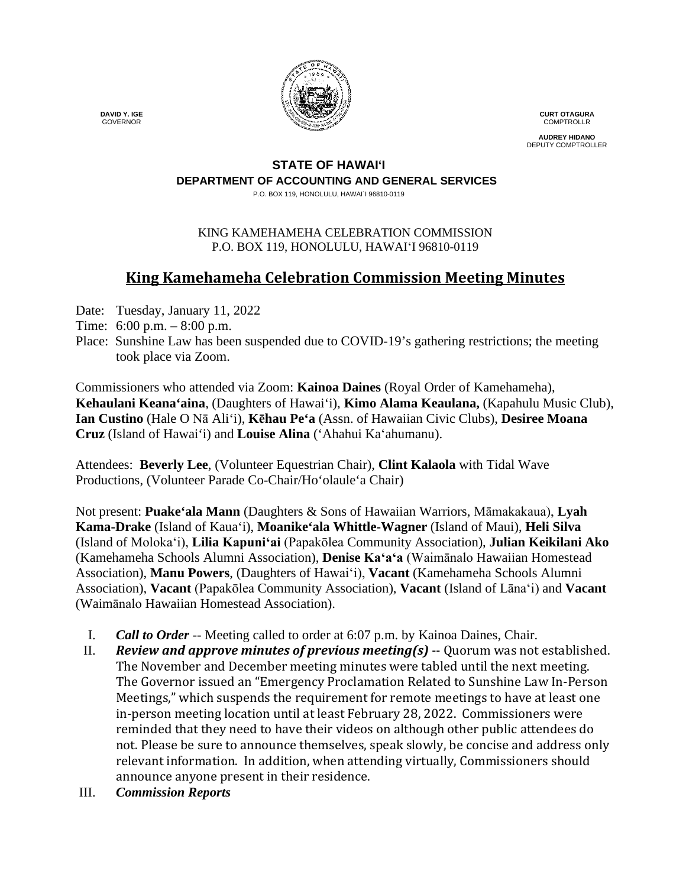

**CURT OTAGURA COMPTROLLR** 

**AUDREY HIDANO** DEPUTY COMPTROLLER

#### **STATE OF HAWAI'I DEPARTMENT OF ACCOUNTING AND GENERAL SERVICES**

P.O. BOX 119, HONOLULU, HAWAI`I 96810-0119

### KING KAMEHAMEHA CELEBRATION COMMISSION P.O. BOX 119, HONOLULU, HAWAIʻI 96810-0119

# **King Kamehameha Celebration Commission Meeting Minutes**

- Date: Tuesday, January 11, 2022
- Time: 6:00 p.m. 8:00 p.m.
- Place: Sunshine Law has been suspended due to COVID-19's gathering restrictions; the meeting took place via Zoom.

Commissioners who attended via Zoom: **Kainoa Daines** (Royal Order of Kamehameha), **Kehaulani Keana'aina**, (Daughters of Hawai'i), **Kimo Alama Keaulana,** (Kapahulu Music Club), **Ian Custino** (Hale O Nā Ali'i), **Kēhau Pe'a** (Assn. of Hawaiian Civic Clubs), **Desiree Moana Cruz** (Island of Hawai'i) and **Louise Alina** ('Ahahui Kaʻahumanu).

Attendees: **Beverly Lee**, (Volunteer Equestrian Chair), **Clint Kalaola** with Tidal Wave Productions, (Volunteer Parade Co-Chair/Ho'olaule'a Chair)

Not present: **Puake'ala Mann** (Daughters & Sons of Hawaiian Warriors, Māmakakaua), **Lyah Kama-Drake** (Island of Kaua'i), **Moanike'ala Whittle-Wagner** (Island of Maui), **Heli Silva** (Island of Molokaʻi), **Lilia Kapuniʻai** (Papakōlea Community Association), **Julian Keikilani Ako** (Kamehameha Schools Alumni Association), **Denise Kaʻaʻa** (Waimānalo Hawaiian Homestead Association), **Manu Powers**, (Daughters of Hawaiʻi), **Vacant** (Kamehameha Schools Alumni Association), **Vacant** (Papakōlea Community Association), **Vacant** (Island of Lāna'i) and **Vacant** (Waimānalo Hawaiian Homestead Association).

- I. *Call to Order* -- Meeting called to order at 6:07 p.m. by Kainoa Daines, Chair.
- II. *Review and approve minutes of previous meeting(s)* -- Quorum was not established. The November and December meeting minutes were tabled until the next meeting. The Governor issued an "Emergency Proclamation Related to Sunshine Law In-Person Meetings," which suspends the requirement for remote meetings to have at least one in-person meeting location until at least February 28, 2022. Commissioners were reminded that they need to have their videos on although other public attendees do not. Please be sure to announce themselves, speak slowly, be concise and address only relevant information. In addition, when attending virtually, Commissioners should announce anyone present in their residence.
- III. *Commission Reports*

 **DAVID Y. IGE** GOVERNOR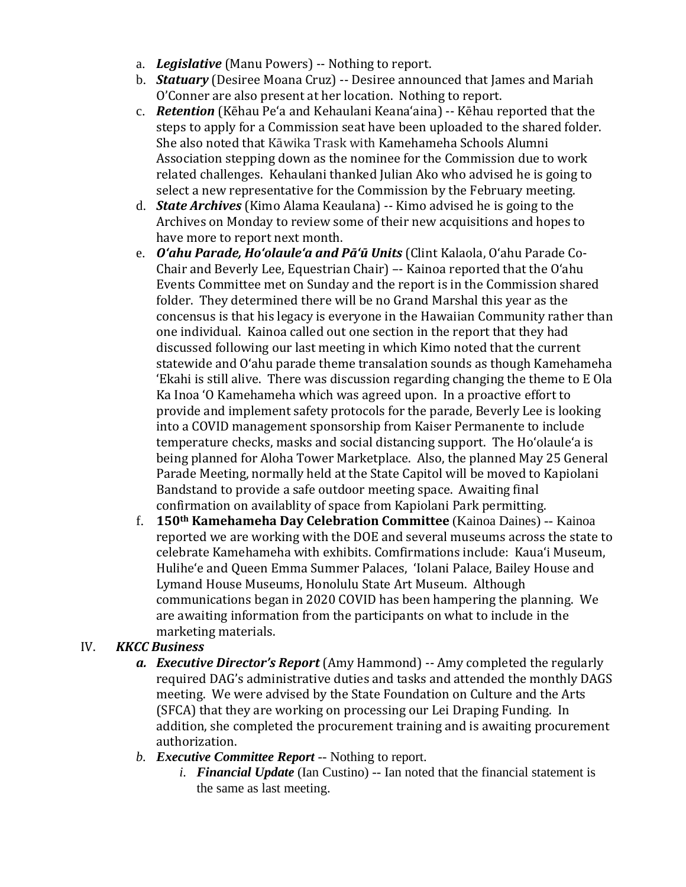- a. *Legislative* (Manu Powers) -- Nothing to report.
- b. *Statuary* (Desiree Moana Cruz) -- Desiree announced that James and Mariah O'Conner are also present at her location. Nothing to report.
- c. *Retention* (Kēhau Pe'a and Kehaulani Keanaʻaina) -- Kēhau reported that the steps to apply for a Commission seat have been uploaded to the shared folder. She also noted that Kāwika Trask with Kamehameha Schools Alumni Association stepping down as the nominee for the Commission due to work related challenges. Kehaulani thanked Julian Ako who advised he is going to select a new representative for the Commission by the February meeting.
- d. *State Archives* (Kimo Alama Keaulana) -- Kimo advised he is going to the Archives on Monday to review some of their new acquisitions and hopes to have more to report next month.
- e. *Oʻahu Parade, Hoʻolauleʻa and Pāʻū Units* (Clint Kalaola, Oʻahu Parade Co-Chair and Beverly Lee, Equestrian Chair) –- Kainoa reported that the Oʻahu Events Committee met on Sunday and the report is in the Commission shared folder. They determined there will be no Grand Marshal this year as the concensus is that his legacy is everyone in the Hawaiian Community rather than one individual. Kainoa called out one section in the report that they had discussed following our last meeting in which Kimo noted that the current statewide and Oʻahu parade theme transalation sounds as though Kamehameha ʻEkahi is still alive. There was discussion regarding changing the theme to E Ola Ka Inoa ʻO Kamehameha which was agreed upon. In a proactive effort to provide and implement safety protocols for the parade, Beverly Lee is looking into a COVID management sponsorship from Kaiser Permanente to include temperature checks, masks and social distancing support. The Hoʻolauleʻa is being planned for Aloha Tower Marketplace. Also, the planned May 25 General Parade Meeting, normally held at the State Capitol will be moved to Kapiolani Bandstand to provide a safe outdoor meeting space. Awaiting final confirmation on availablity of space from Kapiolani Park permitting.
- f. **150th Kamehameha Day Celebration Committee** (Kainoa Daines) -- Kainoa reported we are working with the DOE and several museums across the state to celebrate Kamehameha with exhibits. Comfirmations include: Kauaʻi Museum, Huliheʻe and Queen Emma Summer Palaces, ʻIolani Palace, Bailey House and Lymand House Museums, Honolulu State Art Museum. Although communications began in 2020 COVID has been hampering the planning. We are awaiting information from the participants on what to include in the marketing materials.

### IV. *KKCC Business*

- *a. Executive Director's Report* (Amy Hammond) -- Amy completed the regularly required DAG's administrative duties and tasks and attended the monthly DAGS meeting. We were advised by the State Foundation on Culture and the Arts (SFCA) that they are working on processing our Lei Draping Funding. In addition, she completed the procurement training and is awaiting procurement authorization.
- *b. Executive Committee Report* -- Nothing to report.
	- *i. Financial Update* (Ian Custino) -- Ian noted that the financial statement is the same as last meeting.